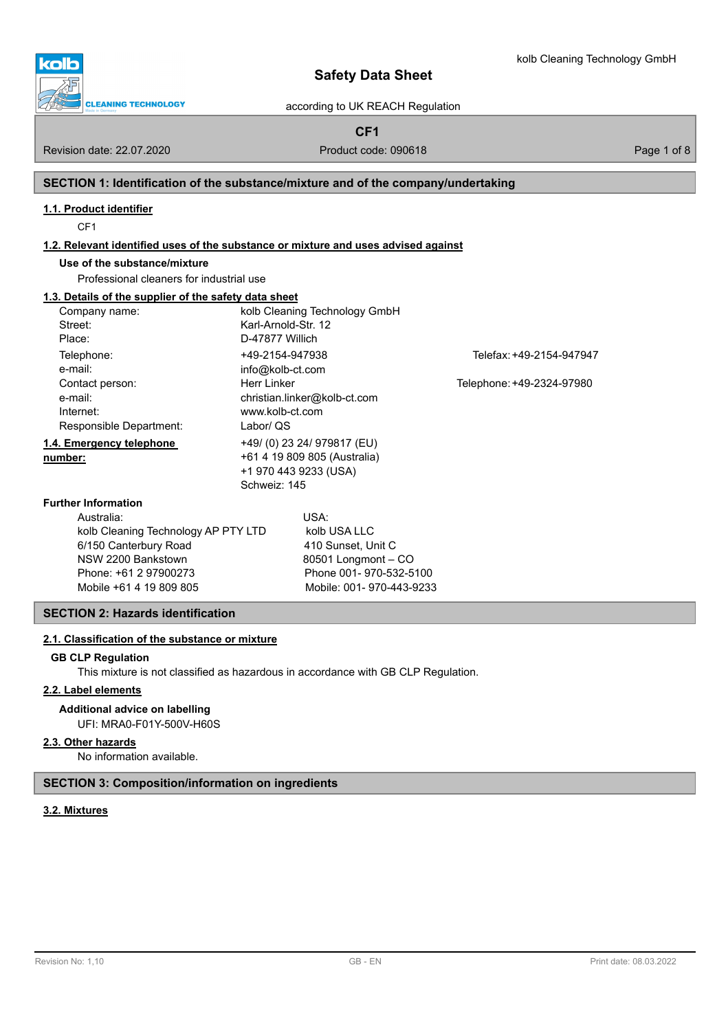



Kolle

# according to UK REACH Regulation

**CF1**

Revision date: 22.07.2020 **Product code: 090618** Page 1 of 8

# **SECTION 1: Identification of the substance/mixture and of the company/undertaking**

# **1.1. Product identifier**

CF1

## **1.2. Relevant identified uses of the substance or mixture and uses advised against**

# **Use of the substance/mixture**

Professional cleaners for industrial use

# **1.3. Details of the supplier of the safety data sheet**

| Company name:                       |                     | kolb Cleaning Technology GmbH |                           |  |  |  |
|-------------------------------------|---------------------|-------------------------------|---------------------------|--|--|--|
| Street:                             | Karl-Arnold-Str. 12 |                               |                           |  |  |  |
| Place:                              | D-47877 Willich     |                               |                           |  |  |  |
| Telephone:                          | +49-2154-947938     |                               | Telefax: +49-2154-947947  |  |  |  |
| e-mail:                             | info@kolb-ct.com    |                               |                           |  |  |  |
| Contact person:                     | Herr Linker         |                               | Telephone: +49-2324-97980 |  |  |  |
| e-mail:                             |                     | christian.linker@kolb-ct.com  |                           |  |  |  |
| Internet:                           | www.kolb-ct.com     |                               |                           |  |  |  |
| Responsible Department:             | Labor/ QS           |                               |                           |  |  |  |
| 1.4. Emergency telephone            |                     | +49/ (0) 23 24/ 979817 (EU)   |                           |  |  |  |
| number:                             |                     | +61 4 19 809 805 (Australia)  |                           |  |  |  |
|                                     |                     | +1 970 443 9233 (USA)         |                           |  |  |  |
|                                     | Schweiz: 145        |                               |                           |  |  |  |
| <b>Further Information</b>          |                     |                               |                           |  |  |  |
| Australia:                          |                     | USA:                          |                           |  |  |  |
| kolb Cleaning Technology AP PTY LTD |                     | kolb USA LLC                  |                           |  |  |  |
| 6/150 Canterbury Road               |                     | 410 Sunset, Unit C            |                           |  |  |  |
| NSW 2200 Bankstown                  |                     | 80501 Longmont - CO           |                           |  |  |  |
| Phone: +61 2 97900273               |                     | Phone 001-970-532-5100        |                           |  |  |  |
| Mobile +61 4 19 809 805             |                     | Mobile: 001-970-443-9233      |                           |  |  |  |

## **SECTION 2: Hazards identification**

## **2.1. Classification of the substance or mixture**

## **GB CLP Regulation**

This mixture is not classified as hazardous in accordance with GB CLP Regulation.

## **2.2. Label elements**

# **Additional advice on labelling**

UFI: MRA0-F01Y-500V-H60S

## **2.3. Other hazards**

No information available.

## **SECTION 3: Composition/information on ingredients**

## **3.2. Mixtures**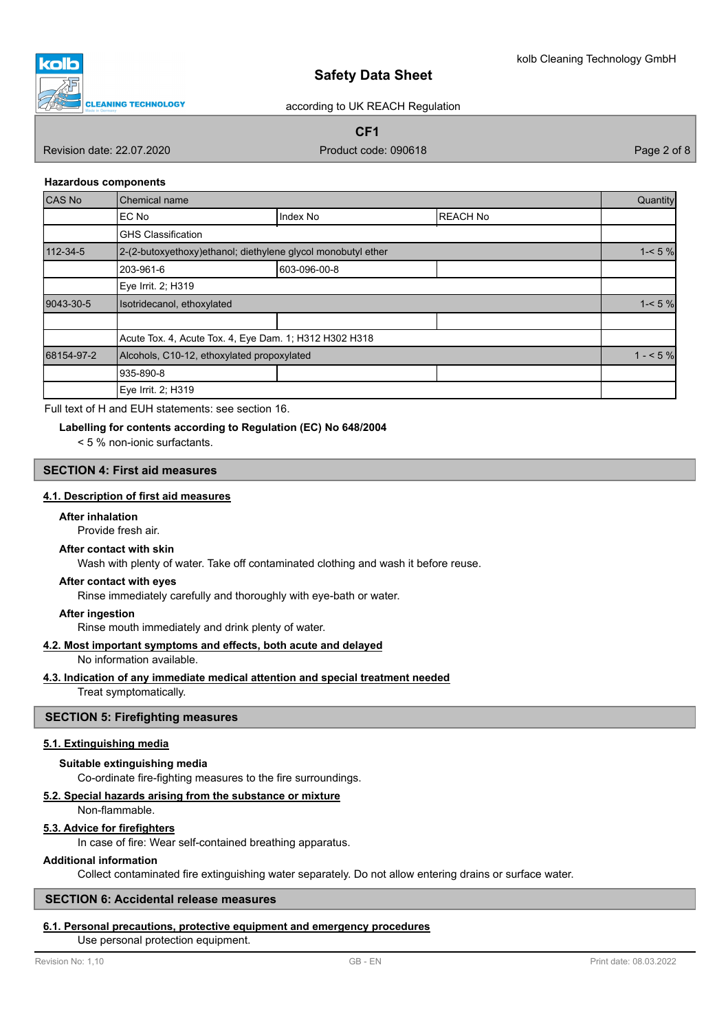

according to UK REACH Regulation

**CF1**

Revision date: 22.07.2020 **Product code: 090618** Product code: 090618 Page 2 of 8

## **Hazardous components**

| CAS No     | Chemical name                                                |              |                 | Quantity  |
|------------|--------------------------------------------------------------|--------------|-----------------|-----------|
|            | EC No                                                        | Index No     | <b>REACH No</b> |           |
|            | <b>GHS Classification</b>                                    |              |                 |           |
| 112-34-5   | 2-(2-butoxyethoxy)ethanol; diethylene glycol monobutyl ether |              |                 | $1 - 5\%$ |
|            | 203-961-6                                                    | 603-096-00-8 |                 |           |
|            | Eye Irrit. 2; H319                                           |              |                 |           |
| 9043-30-5  | Isotridecanol, ethoxylated                                   |              |                 | $1 - 5\%$ |
|            |                                                              |              |                 |           |
|            | Acute Tox. 4, Acute Tox. 4, Eye Dam. 1; H312 H302 H318       |              |                 |           |
| 68154-97-2 | Alcohols, C10-12, ethoxylated propoxylated                   |              | $1 - 5%$        |           |
|            | 935-890-8                                                    |              |                 |           |
|            | Eye Irrit. 2; H319                                           |              |                 |           |

Full text of H and EUH statements: see section 16.

## **Labelling for contents according to Regulation (EC) No 648/2004**

< 5 % non-ionic surfactants.

# **SECTION 4: First aid measures**

# **4.1. Description of first aid measures**

## **After inhalation**

Provide fresh air.

## **After contact with skin**

Wash with plenty of water. Take off contaminated clothing and wash it before reuse.

## **After contact with eyes**

Rinse immediately carefully and thoroughly with eye-bath or water.

## **After ingestion**

Rinse mouth immediately and drink plenty of water.

## **4.2. Most important symptoms and effects, both acute and delayed**

No information available.

## **4.3. Indication of any immediate medical attention and special treatment needed**

Treat symptomatically.

## **SECTION 5: Firefighting measures**

## **5.1. Extinguishing media**

#### **Suitable extinguishing media**

Co-ordinate fire-fighting measures to the fire surroundings.

## **5.2. Special hazards arising from the substance or mixture**

Non-flammable.

## **5.3. Advice for firefighters**

In case of fire: Wear self-contained breathing apparatus.

## **Additional information**

Collect contaminated fire extinguishing water separately. Do not allow entering drains or surface water.

## **SECTION 6: Accidental release measures**

## **6.1. Personal precautions, protective equipment and emergency procedures**

Use personal protection equipment.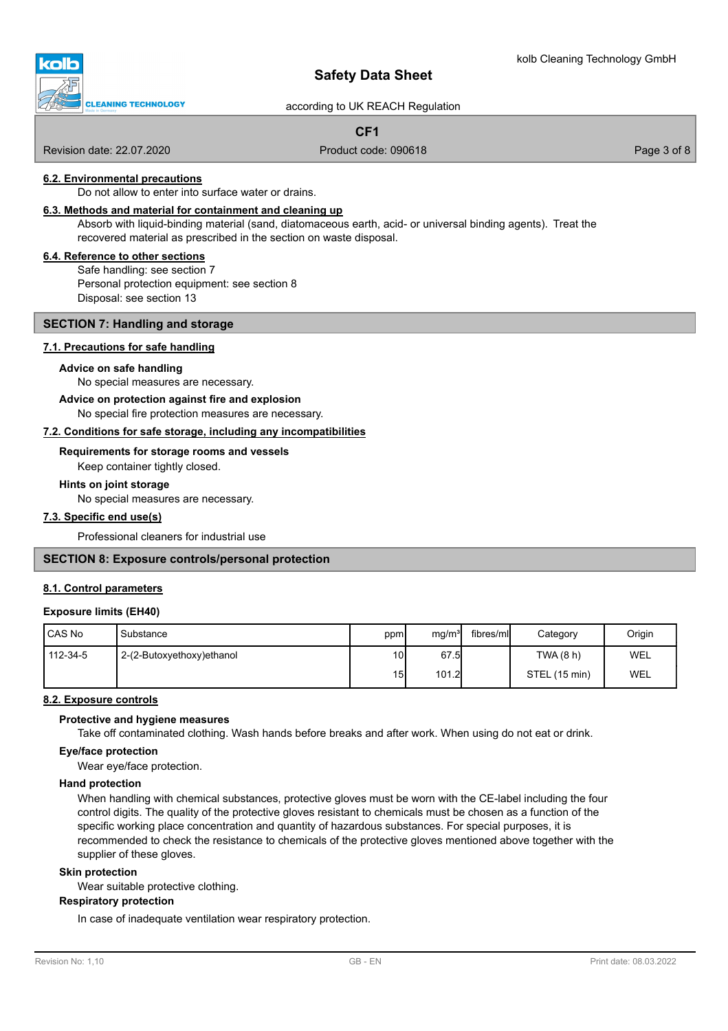# **CLEANING TECHNOLOGY**

# **Safety Data Sheet**

according to UK REACH Regulation

**CF1**

Revision date: 22.07.2020 **Product code: 090618** Product code: 090618 Page 3 of 8

## **6.2. Environmental precautions**

Do not allow to enter into surface water or drains.

## **6.3. Methods and material for containment and cleaning up**

Absorb with liquid-binding material (sand, diatomaceous earth, acid- or universal binding agents). Treat the recovered material as prescribed in the section on waste disposal.

## **6.4. Reference to other sections**

Safe handling: see section 7 Personal protection equipment: see section 8 Disposal: see section 13

## **SECTION 7: Handling and storage**

#### **7.1. Precautions for safe handling**

#### **Advice on safe handling**

No special measures are necessary.

# **Advice on protection against fire and explosion**

No special fire protection measures are necessary.

## **7.2. Conditions for safe storage, including any incompatibilities**

## **Requirements for storage rooms and vessels**

Keep container tightly closed.

#### **Hints on joint storage**

No special measures are necessary.

## **7.3. Specific end use(s)**

Professional cleaners for industrial use

# **SECTION 8: Exposure controls/personal protection**

## **8.1. Control parameters**

## **Exposure limits (EH40)**

| <b>CAS No</b> | Substance                 | ppm             | mg/m <sup>3</sup> | fibres/ml | Category      | Origin |
|---------------|---------------------------|-----------------|-------------------|-----------|---------------|--------|
| 112-34-5      | 2-(2-Butoxyethoxy)ethanol | 10I             | 67.5              |           | TWA(8 h)      | WEL    |
|               |                           | 15 <sub>l</sub> | 101.2             |           | STEL (15 min) | WEL    |

## **8.2. Exposure controls**

## **Protective and hygiene measures**

Take off contaminated clothing. Wash hands before breaks and after work. When using do not eat or drink.

#### **Eye/face protection**

Wear eye/face protection.

## **Hand protection**

When handling with chemical substances, protective gloves must be worn with the CE-label including the four control digits. The quality of the protective gloves resistant to chemicals must be chosen as a function of the specific working place concentration and quantity of hazardous substances. For special purposes, it is recommended to check the resistance to chemicals of the protective gloves mentioned above together with the supplier of these gloves.

## **Skin protection**

Wear suitable protective clothing.

## **Respiratory protection**

In case of inadequate ventilation wear respiratory protection.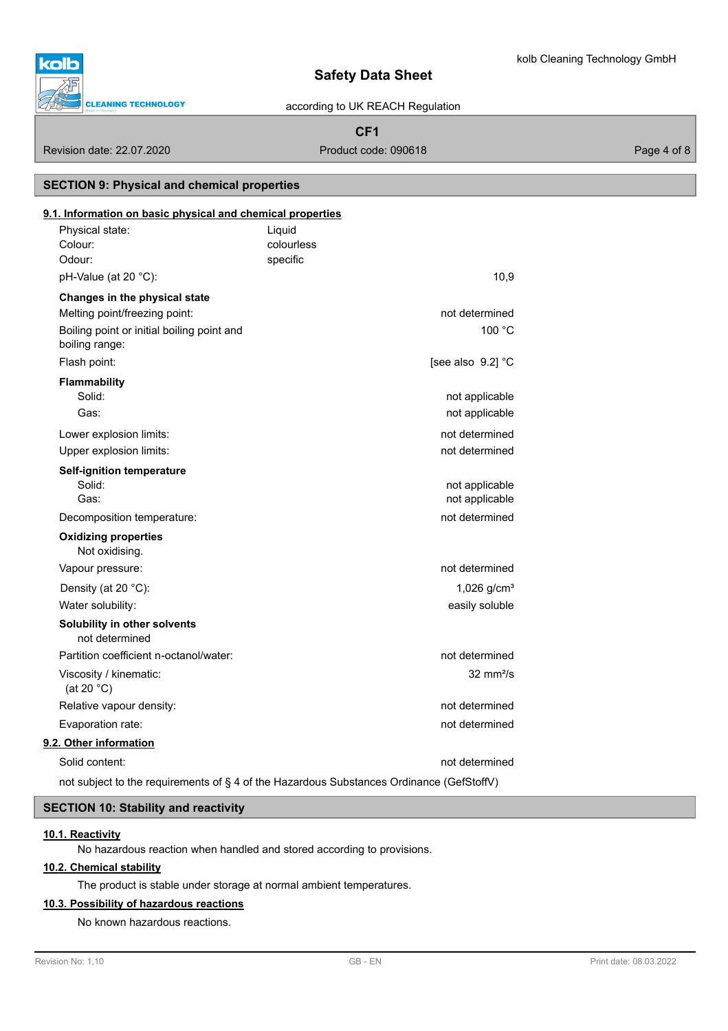

# m **CLEANING TECHNOLOGY**

# **Safety Data Sheet**

according to UK REACH Regulation

# **CF1**

Revision date: 22.07.2020 **Product code: 090618** Product code: 090618 Page 4 of 8

**SECTION 9: Physical and chemical properties**

# colourless Physical state: Liquid Colour: **9.1. Information on basic physical and chemical properties** Odour: specific pH-Value (at  $20 °C$ ): 10,9 **Changes in the physical state** Melting point/freezing point: not determined Boiling point or initial boiling point and 100 °C boiling range: Flash point: **Flash point:**  $[$ See also  $9.2]$   $^{\circ}$ C **Flammability** Solid: **not applicable** the state of the state of the state of the state of the state of the state of the state of the state of the state of the state of the state of the state of the state of the state of the state of the Gas: **not applicable**  $\overline{a}$ Lower explosion limits: not determined Upper explosion limits:  $\Box$ **Self-ignition temperature** Solid: example a structure of the structure of the structure of the structure of the structure of the structure of the structure of the structure of the structure of the structure of the structure of the structure of the s Gas: **Gast** Contract Contract Contract Contract Contract Contract Contract Contract Contract Contract Contract Contract Contract Contract Contract Contract Contract Contract Contract Contract Contract Contract Contract Con Decomposition temperature: not determined Not oxidising. **Oxidizing properties** Vapour pressure: not determined Density (at 20 °C): 1,026 g/cm<sup>3</sup> Water solubility: easily soluble to the solubility: **Solubility in other solvents** not determined Partition coefficient n-octanol/water: not determined Viscosity / kinematic: 32 mm²/s (at 20 °C) Relative vapour density: not of the state of the state of the state of the state of the state of the state of the state of the state of the state of the state of the state of the state of the state of the state of the stat Evaporation rate: not determined by the state of the state of the state of the state of the state of the state of the state of the state of the state of the state of the state of the state of the state of the state of the **9.2. Other information** Solid content: not determined not subject to the requirements of § 4 of the Hazardous Substances Ordinance (GefStoffV)

# **SECTION 10: Stability and reactivity**

# **10.1. Reactivity**

No hazardous reaction when handled and stored according to provisions.

# **10.2. Chemical stability**

The product is stable under storage at normal ambient temperatures.

## **10.3. Possibility of hazardous reactions**

No known hazardous reactions.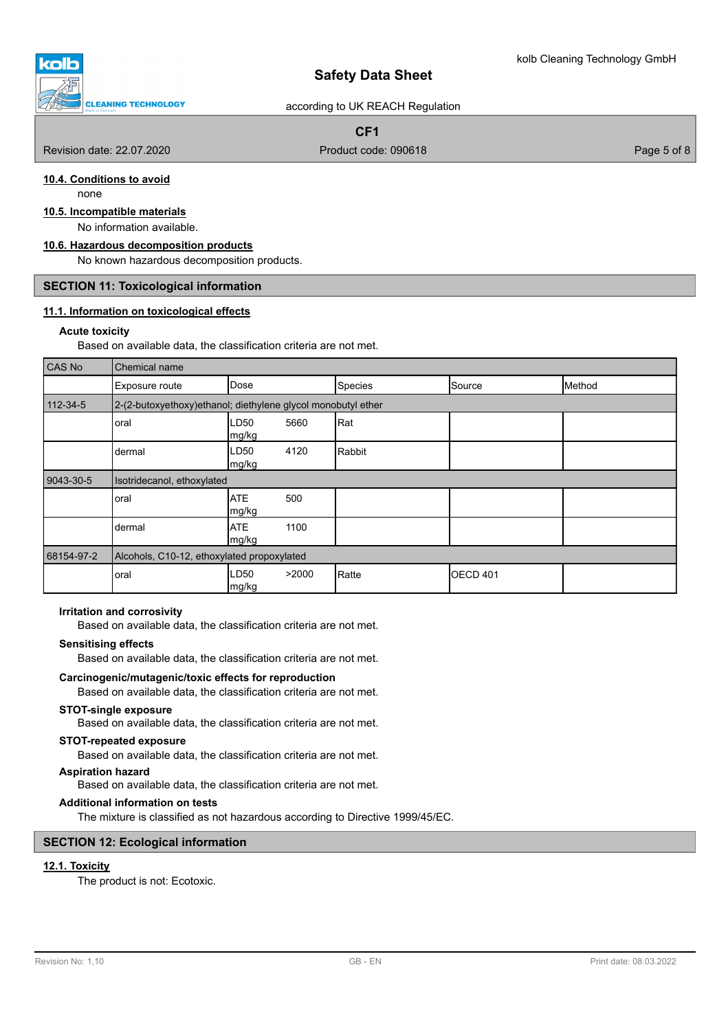**CLEANING TECHNOLOGY** 

# according to UK REACH Regulation

# **CF1**

Revision date: 22.07.2020 **Product code: 090618** Product code: 090618 Page 5 of 8

# **10.4. Conditions to avoid**

none

# **10.5. Incompatible materials**

No information available.

# **10.6. Hazardous decomposition products**

No known hazardous decomposition products.

#### **SECTION 11: Toxicological information**

## **11.1. Information on toxicological effects**

#### **Acute toxicity**

Based on available data, the classification criteria are not met.

| CAS No         | Chemical name                                                 |                           |       |              |                  |        |
|----------------|---------------------------------------------------------------|---------------------------|-------|--------------|------------------|--------|
|                | Exposure route                                                | Dose                      |       | Species      | Source           | Method |
| $112 - 34 - 5$ | 2-(2-butoxyethoxy) ethanol; diethylene glycol monobutyl ether |                           |       |              |                  |        |
|                | oral                                                          | LD <sub>50</sub><br>mg/kg | 5660  | Rat          |                  |        |
|                | dermal                                                        | LD50<br>mg/kg             | 4120  | Rabbit       |                  |        |
| 9043-30-5      | Isotridecanol, ethoxylated                                    |                           |       |              |                  |        |
|                | oral                                                          | <b>ATE</b><br> mg/kg      | 500   |              |                  |        |
|                | dermal                                                        | <b>ATE</b><br>mg/kg       | 1100  |              |                  |        |
| 68154-97-2     | Alcohols, C10-12, ethoxylated propoxylated                    |                           |       |              |                  |        |
|                | oral                                                          | LD50<br>mg/kg             | >2000 | <b>Ratte</b> | <b>IOECD 401</b> |        |

#### **Irritation and corrosivity**

Based on available data, the classification criteria are not met.

#### **Sensitising effects**

Based on available data, the classification criteria are not met.

#### **Carcinogenic/mutagenic/toxic effects for reproduction**

Based on available data, the classification criteria are not met.

#### **STOT-single exposure**

Based on available data, the classification criteria are not met.

#### **STOT-repeated exposure**

Based on available data, the classification criteria are not met.

## **Aspiration hazard**

Based on available data, the classification criteria are not met.

## **Additional information on tests**

The mixture is classified as not hazardous according to Directive 1999/45/EC.

## **SECTION 12: Ecological information**

# **12.1. Toxicity**

The product is not: Ecotoxic.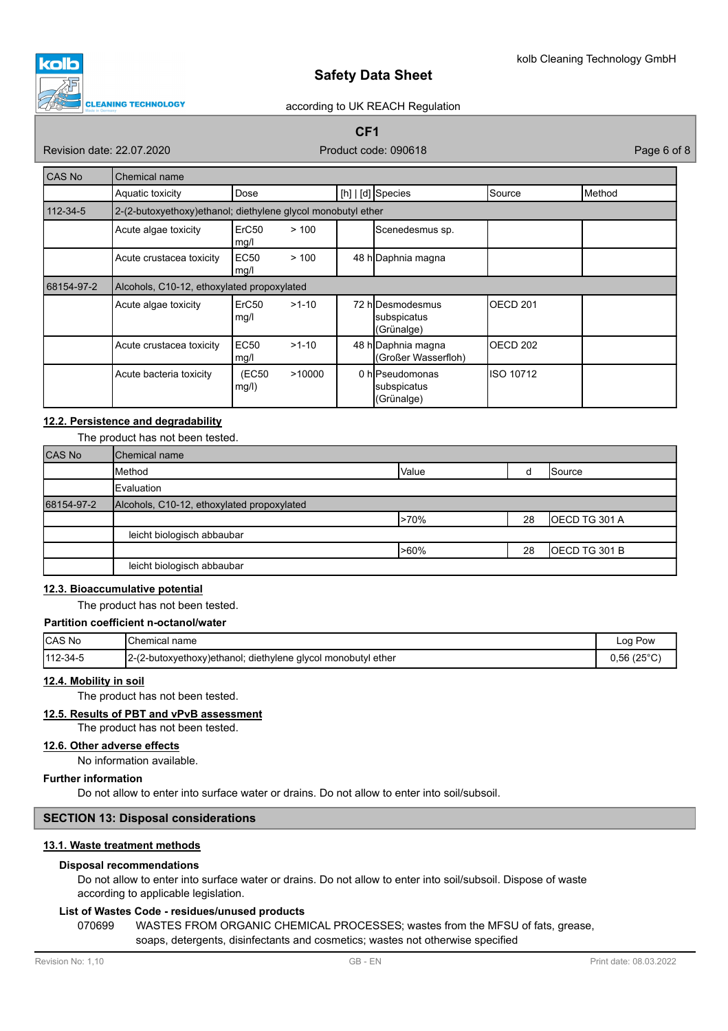

## according to UK REACH Regulation

# **CF1**

Revision date: 22.07.2020 **Product code: 090618** Product code: 090618 Page 6 of 8

| CAS No         | Chemical name                              |                                                              |         |                                               |           |        |
|----------------|--------------------------------------------|--------------------------------------------------------------|---------|-----------------------------------------------|-----------|--------|
|                | Aquatic toxicity                           | Dose                                                         |         | $[h]   [d]$ Species                           | Source    | Method |
| $112 - 34 - 5$ |                                            | 2-(2-butoxyethoxy)ethanol; diethylene glycol monobutyl ether |         |                                               |           |        |
|                | Acute algae toxicity                       | ErC50<br>mg/l                                                | >100    | Scenedesmus sp.                               |           |        |
|                | Acute crustacea toxicity                   | EC <sub>50</sub><br>mg/l                                     | >100    | 48 h Daphnia magna                            |           |        |
| 68154-97-2     | Alcohols, C10-12, ethoxylated propoxylated |                                                              |         |                                               |           |        |
|                | Acute algae toxicity                       | ErC50<br>mg/l                                                | $>1-10$ | 72 hIDesmodesmus<br>subspicatus<br>(Grünalge) | OECD 201  |        |
|                | Acute crustacea toxicity                   | <b>EC50</b><br>mg/l                                          | $>1-10$ | 48 h Daphnia magna<br>(Großer Wasserfloh)     | OECD 202  |        |
|                | Acute bacteria toxicity                    | (EC50<br>mg/l)                                               | >10000  | 0 hIPseudomonas<br>subspicatus<br>(Grünalge)  | ISO 10712 |        |

# **12.2. Persistence and degradability**

The product has not been tested.

| CAS No     | Chemical name                              |       |    |               |
|------------|--------------------------------------------|-------|----|---------------|
|            | Method                                     | Value |    | Source        |
|            | <b>I</b> Evaluation                        |       |    |               |
| 68154-97-2 | Alcohols, C10-12, ethoxylated propoxylated |       |    |               |
|            |                                            | >70%  | 28 | OECD TG 301 A |
|            | leicht biologisch abbaubar                 |       |    |               |
|            |                                            | >60%  | 28 | OECD TG 301 B |
|            | leicht biologisch abbaubar                 |       |    |               |

# **12.3. Bioaccumulative potential**

The product has not been tested.

# **Partition coefficient n-octanol/water**

| CAS No   | Chemical name                                                | Log Pow             |
|----------|--------------------------------------------------------------|---------------------|
| 112-34-5 | 2-(2-butoxyethoxy)ethanol; diethylene glycol monobutyl ether | $0.56(25^{\circ}C)$ |

# **12.4. Mobility in soil**

The product has not been tested.

# **12.5. Results of PBT and vPvB assessment**

The product has not been tested.

# **12.6. Other adverse effects**

No information available.

# **Further information**

Do not allow to enter into surface water or drains. Do not allow to enter into soil/subsoil.

# **SECTION 13: Disposal considerations**

## **13.1. Waste treatment methods**

# **Disposal recommendations**

Do not allow to enter into surface water or drains. Do not allow to enter into soil/subsoil. Dispose of waste according to applicable legislation.

# **List of Wastes Code - residues/unused products**

070699 WASTES FROM ORGANIC CHEMICAL PROCESSES; wastes from the MFSU of fats, grease, soaps, detergents, disinfectants and cosmetics; wastes not otherwise specified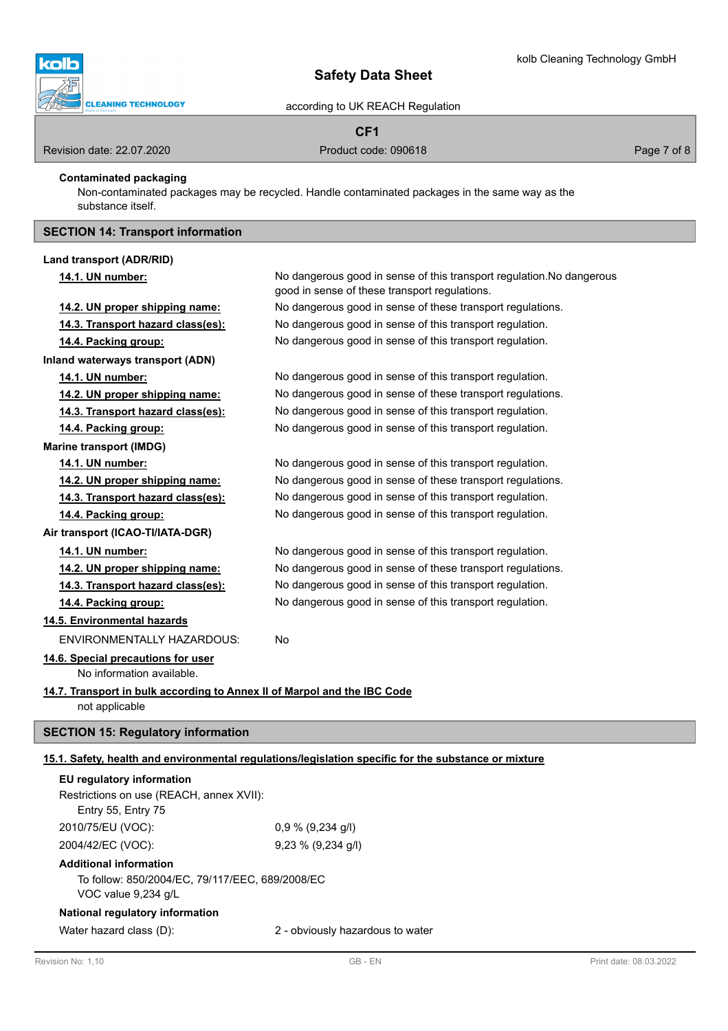

according to UK REACH Regulation

# **CF1**

Revision date: 22.07.2020 **Product code: 090618** Product code: 090618 Page 7 of 8

**Contaminated packaging**

Non-contaminated packages may be recycled. Handle contaminated packages in the same way as the substance itself.

# **SECTION 14: Transport information**

| Land transport (ADR/RID)                                                                    |                                                                                                                        |
|---------------------------------------------------------------------------------------------|------------------------------------------------------------------------------------------------------------------------|
| 14.1. UN number:                                                                            | No dangerous good in sense of this transport regulation. No dangerous<br>good in sense of these transport regulations. |
| 14.2. UN proper shipping name:                                                              | No dangerous good in sense of these transport regulations.                                                             |
| 14.3. Transport hazard class(es):                                                           | No dangerous good in sense of this transport regulation.                                                               |
| 14.4. Packing group:                                                                        | No dangerous good in sense of this transport regulation.                                                               |
| Inland waterways transport (ADN)                                                            |                                                                                                                        |
| 14.1. UN number:                                                                            | No dangerous good in sense of this transport regulation.                                                               |
| 14.2. UN proper shipping name:                                                              | No dangerous good in sense of these transport regulations.                                                             |
| 14.3. Transport hazard class(es):                                                           | No dangerous good in sense of this transport regulation.                                                               |
| 14.4. Packing group:                                                                        | No dangerous good in sense of this transport regulation.                                                               |
| <b>Marine transport (IMDG)</b>                                                              |                                                                                                                        |
| 14.1. UN number:                                                                            | No dangerous good in sense of this transport regulation.                                                               |
| 14.2. UN proper shipping name:                                                              | No dangerous good in sense of these transport regulations.                                                             |
| 14.3. Transport hazard class(es):                                                           | No dangerous good in sense of this transport regulation.                                                               |
| 14.4. Packing group:                                                                        | No dangerous good in sense of this transport regulation.                                                               |
| Air transport (ICAO-TI/IATA-DGR)                                                            |                                                                                                                        |
| 14.1. UN number:                                                                            | No dangerous good in sense of this transport regulation.                                                               |
| 14.2. UN proper shipping name:                                                              | No dangerous good in sense of these transport regulations.                                                             |
| 14.3. Transport hazard class(es):                                                           | No dangerous good in sense of this transport regulation.                                                               |
| 14.4. Packing group:                                                                        | No dangerous good in sense of this transport regulation.                                                               |
| 14.5. Environmental hazards                                                                 |                                                                                                                        |
| ENVIRONMENTALLY HAZARDOUS:                                                                  | No                                                                                                                     |
| 14.6. Special precautions for user<br>No information available.                             |                                                                                                                        |
| 14.7. Transport in bulk according to Annex II of Marpol and the IBC Code<br>not applicable  |                                                                                                                        |
| <b>SECTION 15: Regulatory information</b>                                                   |                                                                                                                        |
|                                                                                             | 15.1. Safety, health and environmental regulations/legislation specific for the substance or mixture                   |
| EU regulatory information<br>Restrictions on use (REACH, annex XVII):<br>Entry 55, Entry 75 |                                                                                                                        |
| 2010/75/EU (VOC):                                                                           | $0,9\%$ (9,234 g/l)                                                                                                    |
| 2004/42/EC (VOC):                                                                           | 9,23 % (9,234 g/l)                                                                                                     |
| <b>Additional information</b>                                                               |                                                                                                                        |

To follow: 850/2004/EC, 79/117/EEC, 689/2008/EC VOC value 9,234 g/L

# **National regulatory information**

Water hazard class (D): 2 - obviously hazardous to water